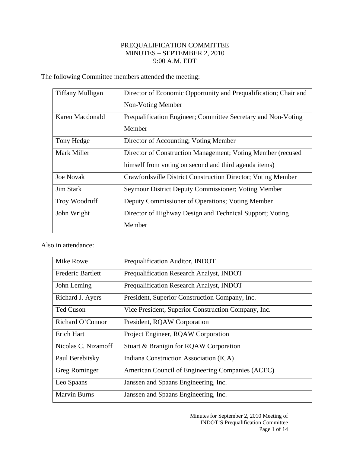## PREQUALIFICATION COMMITTEE MINUTES – SEPTEMBER 2, 2010 9:00 A.M. EDT

The following Committee members attended the meeting:

| <b>Tiffany Mulligan</b> | Director of Economic Opportunity and Prequalification; Chair and |
|-------------------------|------------------------------------------------------------------|
|                         | Non-Voting Member                                                |
| Karen Macdonald         | Prequalification Engineer; Committee Secretary and Non-Voting    |
|                         | Member                                                           |
| Tony Hedge              | Director of Accounting; Voting Member                            |
| Mark Miller             | Director of Construction Management; Voting Member (recused      |
|                         | himself from voting on second and third agenda items)            |
| <b>Joe Novak</b>        | Crawfordsville District Construction Director; Voting Member     |
| <b>Jim Stark</b>        | Seymour District Deputy Commissioner; Voting Member              |
| <b>Troy Woodruff</b>    | Deputy Commissioner of Operations; Voting Member                 |
| John Wright             | Director of Highway Design and Technical Support; Voting         |
|                         | Member                                                           |

Also in attendance:

| Mike Rowe                | Prequalification Auditor, INDOT                     |
|--------------------------|-----------------------------------------------------|
| <b>Frederic Bartlett</b> | Prequalification Research Analyst, INDOT            |
| John Leming              | Prequalification Research Analyst, INDOT            |
| Richard J. Ayers         | President, Superior Construction Company, Inc.      |
| Ted Cuson                | Vice President, Superior Construction Company, Inc. |
| Richard O'Connor         | President, RQAW Corporation                         |
| Erich Hart               | Project Engineer, RQAW Corporation                  |
| Nicolas C. Nizamoff      | Stuart & Branigin for RQAW Corporation              |
| Paul Berebitsky          | Indiana Construction Association (ICA)              |
| Greg Rominger            | American Council of Engineering Companies (ACEC)    |
| Leo Spaans               | Janssen and Spaans Engineering, Inc.                |
| <b>Marvin Burns</b>      | Janssen and Spaans Engineering, Inc.                |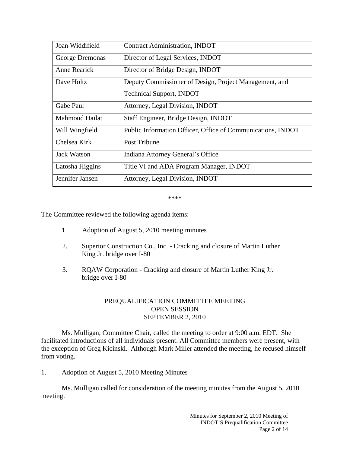| Joan Widdifield     | <b>Contract Administration, INDOT</b>                       |
|---------------------|-------------------------------------------------------------|
| George Dremonas     | Director of Legal Services, INDOT                           |
| <b>Anne Rearick</b> | Director of Bridge Design, INDOT                            |
| Dave Holtz          | Deputy Commissioner of Design, Project Management, and      |
|                     | <b>Technical Support, INDOT</b>                             |
| Gabe Paul           | Attorney, Legal Division, INDOT                             |
| Mahmoud Hailat      | Staff Engineer, Bridge Design, INDOT                        |
| Will Wingfield      | Public Information Officer, Office of Communications, INDOT |
| Chelsea Kirk        | Post Tribune                                                |
| Jack Watson         | Indiana Attorney General's Office                           |
| Latosha Higgins     | Title VI and ADA Program Manager, INDOT                     |
| Jennifer Jansen     | Attorney, Legal Division, INDOT                             |

\*\*\*\*

The Committee reviewed the following agenda items:

- 1. Adoption of August 5, 2010 meeting minutes
- 2. Superior Construction Co., Inc. Cracking and closure of Martin Luther King Jr. bridge over I-80
- 3. RQAW Corporation Cracking and closure of Martin Luther King Jr. bridge over I-80

## PREQUALIFICATION COMMITTEE MEETING OPEN SESSION SEPTEMBER 2, 2010

 Ms. Mulligan, Committee Chair, called the meeting to order at 9:00 a.m. EDT. She facilitated introductions of all individuals present. All Committee members were present, with the exception of Greg Kicinski. Although Mark Miller attended the meeting, he recused himself from voting.

1. Adoption of August 5, 2010 Meeting Minutes

 Ms. Mulligan called for consideration of the meeting minutes from the August 5, 2010 meeting.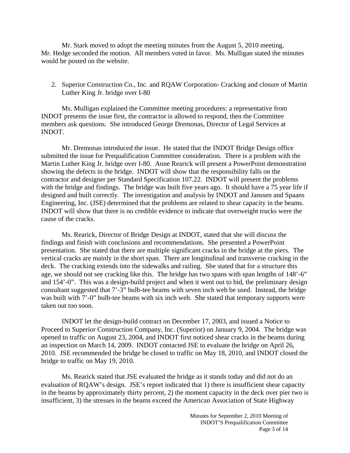Mr. Stark moved to adopt the meeting minutes from the August 5, 2010 meeting. Mr. Hedge seconded the motion. All members voted in favor. Ms. Mulligan stated the minutes would be posted on the website.

2. Superior Construction Co., Inc. and RQAW Corporation- Cracking and closure of Martin Luther King Jr. bridge over I-80

Ms. Mulligan explained the Committee meeting procedures: a representative from INDOT presents the issue first, the contractor is allowed to respond, then the Committee members ask questions. She introduced George Dremonas, Director of Legal Services at INDOT.

Mr. Dremonas introduced the issue. He stated that the INDOT Bridge Design office submitted the issue for Prequalification Committee consideration. There is a problem with the Martin Luther King Jr. bridge over I-80. Anne Rearick will present a PowerPoint demonstration showing the defects in the bridge. INDOT will show that the responsibility falls on the contractor and designer per Standard Specification 107.22. INDOT will present the problems with the bridge and findings. The bridge was built five years ago. It should have a 75 year life if designed and built correctly. The investigation and analysis by INDOT and Janssen and Spaans Engineering, Inc. (JSE) determined that the problems are related to shear capacity in the beams. INDOT will show that there is no credible evidence to indicate that overweight trucks were the cause of the cracks.

Ms. Rearick, Director of Bridge Design at INDOT, stated that she will discuss the findings and finish with conclusions and recommendations. She presented a PowerPoint presentation. She stated that there are multiple significant cracks in the bridge at the piers. The vertical cracks are mainly in the short span. There are longitudinal and transverse cracking in the deck. The cracking extends into the sidewalks and railing. She stated that for a structure this age, we should not see cracking like this. The bridge has two spans with span lengths of 148'-6" and 154'-0". This was a design-build project and when it went out to bid, the preliminary design consultant suggested that 7'-3" bulb-tee beams with seven inch web be used. Instead, the bridge was built with 7'-0" bulb-tee beams with six inch web. She stated that temporary supports were taken out too soon.

INDOT let the design-build contract on December 17, 2003, and issued a Notice to Proceed to Superior Construction Company, Inc. (Superior) on January 9, 2004. The bridge was opened to traffic on August 23, 2004, and INDOT first noticed shear cracks in the beams during an inspection on March 14, 2009. INDOT contacted JSE to evaluate the bridge on April 26, 2010. JSE recommended the bridge be closed to traffic on May 18, 2010, and INDOT closed the bridge to traffic on May 19, 2010.

Ms. Rearick stated that JSE evaluated the bridge as it stands today and did not do an evaluation of RQAW's design. JSE's report indicated that 1) there is insufficient shear capacity in the beams by approximately thirty percent, 2) the moment capacity in the deck over pier two is insufficient, 3) the stresses in the beams exceed the American Association of State Highway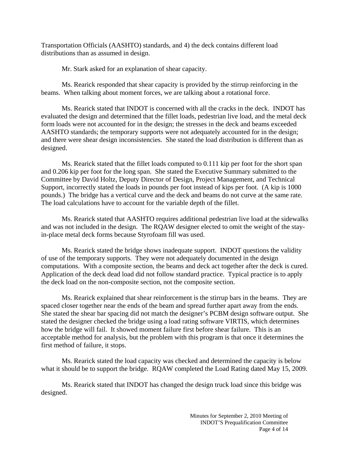Transportation Officials (AASHTO) standards, and 4) the deck contains different load distributions than as assumed in design.

Mr. Stark asked for an explanation of shear capacity.

Ms. Rearick responded that shear capacity is provided by the stirrup reinforcing in the beams. When talking about moment forces, we are talking about a rotational force.

Ms. Rearick stated that INDOT is concerned with all the cracks in the deck. INDOT has evaluated the design and determined that the fillet loads, pedestrian live load, and the metal deck form loads were not accounted for in the design; the stresses in the deck and beams exceeded AASHTO standards; the temporary supports were not adequately accounted for in the design; and there were shear design inconsistencies. She stated the load distribution is different than as designed.

Ms. Rearick stated that the fillet loads computed to 0.111 kip per foot for the short span and 0.206 kip per foot for the long span. She stated the Executive Summary submitted to the Committee by David Holtz, Deputy Director of Design, Project Management, and Technical Support, incorrectly stated the loads in pounds per foot instead of kips per foot. (A kip is 1000 pounds.) The bridge has a vertical curve and the deck and beams do not curve at the same rate. The load calculations have to account for the variable depth of the fillet.

Ms. Rearick stated that AASHTO requires additional pedestrian live load at the sidewalks and was not included in the design. The RQAW designer elected to omit the weight of the stayin-place metal deck forms because Styrofoam fill was used.

Ms. Rearick stated the bridge shows inadequate support. INDOT questions the validity of use of the temporary supports. They were not adequately documented in the design computations. With a composite section, the beams and deck act together after the deck is cured. Application of the deck dead load did not follow standard practice. Typical practice is to apply the deck load on the non-composite section, not the composite section.

Ms. Rearick explained that shear reinforcement is the stirrup bars in the beams. They are spaced closer together near the ends of the beam and spread further apart away from the ends. She stated the shear bar spacing did not match the designer's PCBM design software output. She stated the designer checked the bridge using a load rating software VIRTIS, which determines how the bridge will fail. It showed moment failure first before shear failure. This is an acceptable method for analysis, but the problem with this program is that once it determines the first method of failure, it stops.

Ms. Rearick stated the load capacity was checked and determined the capacity is below what it should be to support the bridge. RQAW completed the Load Rating dated May 15, 2009.

Ms. Rearick stated that INDOT has changed the design truck load since this bridge was designed.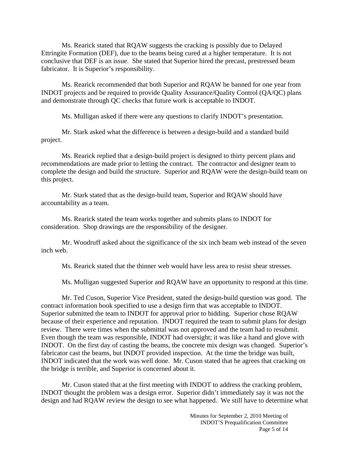Ms. Rearick stated that RQAW suggests the cracking is possibly due to Delayed Ettringite Formation (DEF), due to the beams being cured at a higher temperature. It is not conclusive that DEF is an issue. She stated that Superior hired the precast, prestressed beam fabricator. It is Superior's responsibility.

Ms. Rearick recommended that both Superior and RQAW be banned for one year from INDOT projects and be required to provide Quality Assurance/Quality Control (QA/QC) plans and demonstrate through QC checks that future work is acceptable to INDOT.

Ms. Mulligan asked if there were any questions to clarify INDOT's presentation.

Mr. Stark asked what the difference is between a design-build and a standard build project.

Ms. Rearick replied that a design-build project is designed to thirty percent plans and recommendations are made prior to letting the contract. The contractor and designer team to complete the design and build the structure. Superior and RQAW were the design-build team on this project.

Mr. Stark stated that as the design-build team, Superior and RQAW should have accountability as a team.

Ms. Rearick stated the team works together and submits plans to INDOT for consideration. Shop drawings are the responsibility of the designer.

Mr. Woodruff asked about the significance of the six inch beam web instead of the seven inch web.

Ms. Rearick stated that the thinner web would have less area to resist shear stresses.

Ms. Mulligan suggested Superior and RQAW have an opportunity to respond at this time.

Mr. Ted Cuson, Superior Vice President, stated the design-build question was good. The contract information book specified to use a design firm that was acceptable to INDOT. Superior submitted the team to INDOT for approval prior to bidding. Superior chose RQAW because of their experience and reputation. INDOT required the team to submit plans for design review. There were times when the submittal was not approved and the team had to resubmit. Even though the team was responsible, INDOT had oversight; it was like a hand and glove with INDOT. On the first day of casting the beams, the concrete mix design was changed. Superior's fabricator cast the beams, but INDOT provided inspection. At the time the bridge was built, INDOT indicated that the work was well done. Mr. Cuson stated that he agrees that cracking on the bridge is terrible, and Superior is concerned about it.

Mr. Cuson stated that at the first meeting with INDOT to address the cracking problem, INDOT thought the problem was a design error. Superior didn't immediately say it was not the design and had RQAW review the design to see what happened. We still have to determine what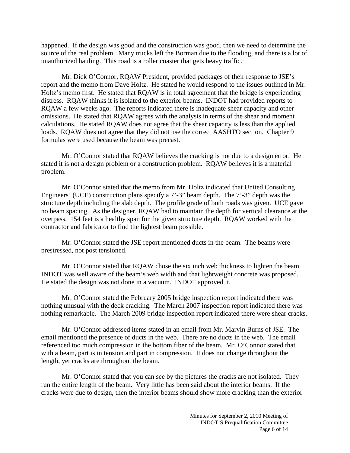happened. If the design was good and the construction was good, then we need to determine the source of the real problem. Many trucks left the Borman due to the flooding, and there is a lot of unauthorized hauling. This road is a roller coaster that gets heavy traffic.

Mr. Dick O'Connor, RQAW President, provided packages of their response to JSE's report and the memo from Dave Holtz. He stated he would respond to the issues outlined in Mr. Holtz's memo first. He stated that RQAW is in total agreement that the bridge is experiencing distress. RQAW thinks it is isolated to the exterior beams. INDOT had provided reports to RQAW a few weeks ago. The reports indicated there is inadequate shear capacity and other omissions. He stated that RQAW agrees with the analysis in terms of the shear and moment calculations. He stated RQAW does not agree that the shear capacity is less than the applied loads. RQAW does not agree that they did not use the correct AASHTO section. Chapter 9 formulas were used because the beam was precast.

Mr. O'Connor stated that RQAW believes the cracking is not due to a design error. He stated it is not a design problem or a construction problem. RQAW believes it is a material problem.

Mr. O'Connor stated that the memo from Mr. Holtz indicated that United Consulting Engineers' (UCE) construction plans specify a 7'-3" beam depth. The 7'-3" depth was the structure depth including the slab depth. The profile grade of both roads was given. UCE gave no beam spacing. As the designer, RQAW had to maintain the depth for vertical clearance at the overpass. 154 feet is a healthy span for the given structure depth. RQAW worked with the contractor and fabricator to find the lightest beam possible.

Mr. O'Connor stated the JSE report mentioned ducts in the beam. The beams were prestressed, not post tensioned.

Mr. O'Connor stated that RQAW chose the six inch web thickness to lighten the beam. INDOT was well aware of the beam's web width and that lightweight concrete was proposed. He stated the design was not done in a vacuum. INDOT approved it.

Mr. O'Connor stated the February 2005 bridge inspection report indicated there was nothing unusual with the deck cracking. The March 2007 inspection report indicated there was nothing remarkable. The March 2009 bridge inspection report indicated there were shear cracks.

Mr. O'Connor addressed items stated in an email from Mr. Marvin Burns of JSE. The email mentioned the presence of ducts in the web. There are no ducts in the web. The email referenced too much compression in the bottom fiber of the beam. Mr. O'Connor stated that with a beam, part is in tension and part in compression. It does not change throughout the length, yet cracks are throughout the beam.

Mr. O'Connor stated that you can see by the pictures the cracks are not isolated. They run the entire length of the beam. Very little has been said about the interior beams. If the cracks were due to design, then the interior beams should show more cracking than the exterior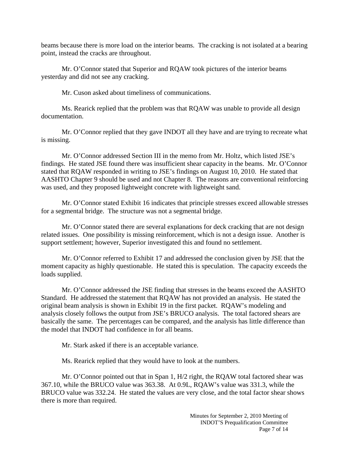beams because there is more load on the interior beams. The cracking is not isolated at a bearing point, instead the cracks are throughout.

Mr. O'Connor stated that Superior and RQAW took pictures of the interior beams yesterday and did not see any cracking.

Mr. Cuson asked about timeliness of communications.

Ms. Rearick replied that the problem was that RQAW was unable to provide all design documentation.

Mr. O'Connor replied that they gave INDOT all they have and are trying to recreate what is missing.

Mr. O'Connor addressed Section III in the memo from Mr. Holtz, which listed JSE's findings. He stated JSE found there was insufficient shear capacity in the beams. Mr. O'Connor stated that RQAW responded in writing to JSE's findings on August 10, 2010. He stated that AASHTO Chapter 9 should be used and not Chapter 8. The reasons are conventional reinforcing was used, and they proposed lightweight concrete with lightweight sand.

Mr. O'Connor stated Exhibit 16 indicates that principle stresses exceed allowable stresses for a segmental bridge. The structure was not a segmental bridge.

Mr. O'Connor stated there are several explanations for deck cracking that are not design related issues. One possibility is missing reinforcement, which is not a design issue. Another is support settlement; however, Superior investigated this and found no settlement.

Mr. O'Connor referred to Exhibit 17 and addressed the conclusion given by JSE that the moment capacity as highly questionable. He stated this is speculation. The capacity exceeds the loads supplied.

Mr. O'Connor addressed the JSE finding that stresses in the beams exceed the AASHTO Standard. He addressed the statement that RQAW has not provided an analysis. He stated the original beam analysis is shown in Exhibit 19 in the first packet. RQAW's modeling and analysis closely follows the output from JSE's BRUCO analysis. The total factored shears are basically the same. The percentages can be compared, and the analysis has little difference than the model that INDOT had confidence in for all beams.

Mr. Stark asked if there is an acceptable variance.

Ms. Rearick replied that they would have to look at the numbers.

Mr. O'Connor pointed out that in Span 1, H/2 right, the RQAW total factored shear was 367.10, while the BRUCO value was 363.38. At 0.9L, RQAW's value was 331.3, while the BRUCO value was 332.24. He stated the values are very close, and the total factor shear shows there is more than required.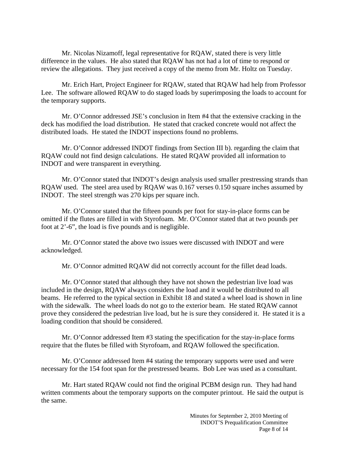Mr. Nicolas Nizamoff, legal representative for RQAW, stated there is very little difference in the values. He also stated that RQAW has not had a lot of time to respond or review the allegations. They just received a copy of the memo from Mr. Holtz on Tuesday.

Mr. Erich Hart, Project Engineer for RQAW, stated that RQAW had help from Professor Lee. The software allowed RQAW to do staged loads by superimposing the loads to account for the temporary supports.

Mr. O'Connor addressed JSE's conclusion in Item #4 that the extensive cracking in the deck has modified the load distribution. He stated that cracked concrete would not affect the distributed loads. He stated the INDOT inspections found no problems.

Mr. O'Connor addressed INDOT findings from Section III b). regarding the claim that RQAW could not find design calculations. He stated RQAW provided all information to INDOT and were transparent in everything.

Mr. O'Connor stated that INDOT's design analysis used smaller prestressing strands than RQAW used. The steel area used by RQAW was 0.167 verses 0.150 square inches assumed by INDOT. The steel strength was 270 kips per square inch.

Mr. O'Connor stated that the fifteen pounds per foot for stay-in-place forms can be omitted if the flutes are filled in with Styrofoam. Mr. O'Connor stated that at two pounds per foot at 2'-6", the load is five pounds and is negligible.

Mr. O'Connor stated the above two issues were discussed with INDOT and were acknowledged.

Mr. O'Connor admitted RQAW did not correctly account for the fillet dead loads.

Mr. O'Connor stated that although they have not shown the pedestrian live load was included in the design, RQAW always considers the load and it would be distributed to all beams. He referred to the typical section in Exhibit 18 and stated a wheel load is shown in line with the sidewalk. The wheel loads do not go to the exterior beam. He stated RQAW cannot prove they considered the pedestrian live load, but he is sure they considered it. He stated it is a loading condition that should be considered.

Mr. O'Connor addressed Item #3 stating the specification for the stay-in-place forms require that the flutes be filled with Styrofoam, and RQAW followed the specification.

Mr. O'Connor addressed Item #4 stating the temporary supports were used and were necessary for the 154 foot span for the prestressed beams. Bob Lee was used as a consultant.

Mr. Hart stated RQAW could not find the original PCBM design run. They had hand written comments about the temporary supports on the computer printout. He said the output is the same.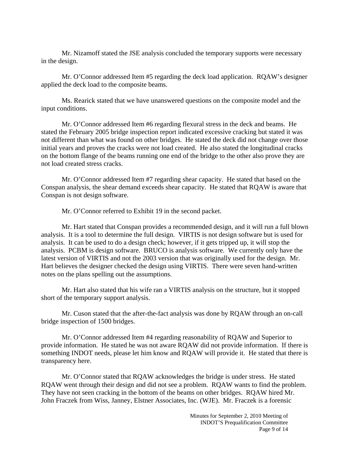Mr. Nizamoff stated the JSE analysis concluded the temporary supports were necessary in the design.

Mr. O'Connor addressed Item #5 regarding the deck load application. RQAW's designer applied the deck load to the composite beams.

Ms. Rearick stated that we have unanswered questions on the composite model and the input conditions.

Mr. O'Connor addressed Item #6 regarding flexural stress in the deck and beams. He stated the February 2005 bridge inspection report indicated excessive cracking but stated it was not different than what was found on other bridges. He stated the deck did not change over those initial years and proves the cracks were not load created. He also stated the longitudinal cracks on the bottom flange of the beams running one end of the bridge to the other also prove they are not load created stress cracks.

Mr. O'Connor addressed Item #7 regarding shear capacity. He stated that based on the Conspan analysis, the shear demand exceeds shear capacity. He stated that RQAW is aware that Conspan is not design software.

Mr. O'Connor referred to Exhibit 19 in the second packet.

Mr. Hart stated that Conspan provides a recommended design, and it will run a full blown analysis. It is a tool to determine the full design. VIRTIS is not design software but is used for analysis. It can be used to do a design check; however, if it gets tripped up, it will stop the analysis. PCBM is design software. BRUCO is analysis software. We currently only have the latest version of VIRTIS and not the 2003 version that was originally used for the design. Mr. Hart believes the designer checked the design using VIRTIS. There were seven hand-written notes on the plans spelling out the assumptions.

Mr. Hart also stated that his wife ran a VIRTIS analysis on the structure, but it stopped short of the temporary support analysis.

Mr. Cuson stated that the after-the-fact analysis was done by RQAW through an on-call bridge inspection of 1500 bridges.

Mr. O'Connor addressed Item #4 regarding reasonability of RQAW and Superior to provide information. He stated he was not aware RQAW did not provide information. If there is something INDOT needs, please let him know and RQAW will provide it. He stated that there is transparency here.

Mr. O'Connor stated that RQAW acknowledges the bridge is under stress. He stated RQAW went through their design and did not see a problem. RQAW wants to find the problem. They have not seen cracking in the bottom of the beams on other bridges. RQAW hired Mr. John Fraczek from Wiss, Janney, Elstner Associates, Inc. (WJE). Mr. Fraczek is a forensic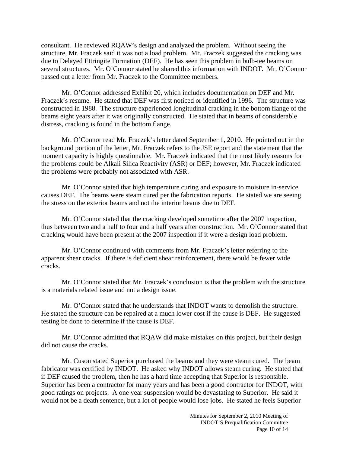consultant. He reviewed RQAW's design and analyzed the problem. Without seeing the structure, Mr. Fraczek said it was not a load problem. Mr. Fraczek suggested the cracking was due to Delayed Ettringite Formation (DEF). He has seen this problem in bulb-tee beams on several structures. Mr. O'Connor stated he shared this information with INDOT. Mr. O'Connor passed out a letter from Mr. Fraczek to the Committee members.

Mr. O'Connor addressed Exhibit 20, which includes documentation on DEF and Mr. Fraczek's resume. He stated that DEF was first noticed or identified in 1996. The structure was constructed in 1988. The structure experienced longitudinal cracking in the bottom flange of the beams eight years after it was originally constructed. He stated that in beams of considerable distress, cracking is found in the bottom flange.

Mr. O'Connor read Mr. Fraczek's letter dated September 1, 2010. He pointed out in the background portion of the letter, Mr. Fraczek refers to the JSE report and the statement that the moment capacity is highly questionable. Mr. Fraczek indicated that the most likely reasons for the problems could be Alkali Silica Reactivity (ASR) or DEF; however, Mr. Fraczek indicated the problems were probably not associated with ASR.

Mr. O'Connor stated that high temperature curing and exposure to moisture in-service causes DEF. The beams were steam cured per the fabrication reports. He stated we are seeing the stress on the exterior beams and not the interior beams due to DEF.

Mr. O'Connor stated that the cracking developed sometime after the 2007 inspection, thus between two and a half to four and a half years after construction. Mr. O'Connor stated that cracking would have been present at the 2007 inspection if it were a design load problem.

Mr. O'Connor continued with comments from Mr. Fraczek's letter referring to the apparent shear cracks. If there is deficient shear reinforcement, there would be fewer wide cracks.

Mr. O'Connor stated that Mr. Fraczek's conclusion is that the problem with the structure is a materials related issue and not a design issue.

Mr. O'Connor stated that he understands that INDOT wants to demolish the structure. He stated the structure can be repaired at a much lower cost if the cause is DEF. He suggested testing be done to determine if the cause is DEF.

Mr. O'Connor admitted that RQAW did make mistakes on this project, but their design did not cause the cracks.

Mr. Cuson stated Superior purchased the beams and they were steam cured. The beam fabricator was certified by INDOT. He asked why INDOT allows steam curing. He stated that if DEF caused the problem, then he has a hard time accepting that Superior is responsible. Superior has been a contractor for many years and has been a good contractor for INDOT, with good ratings on projects. A one year suspension would be devastating to Superior. He said it would not be a death sentence, but a lot of people would lose jobs. He stated he feels Superior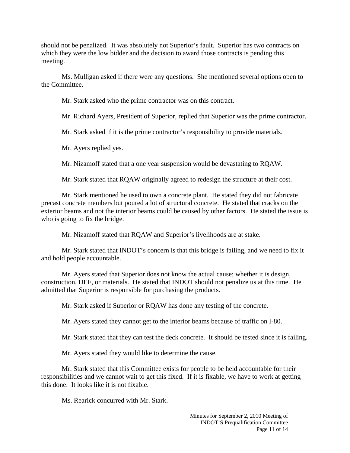should not be penalized. It was absolutely not Superior's fault. Superior has two contracts on which they were the low bidder and the decision to award those contracts is pending this meeting.

Ms. Mulligan asked if there were any questions. She mentioned several options open to the Committee.

Mr. Stark asked who the prime contractor was on this contract.

Mr. Richard Ayers, President of Superior, replied that Superior was the prime contractor.

Mr. Stark asked if it is the prime contractor's responsibility to provide materials.

Mr. Ayers replied yes.

Mr. Nizamoff stated that a one year suspension would be devastating to RQAW.

Mr. Stark stated that RQAW originally agreed to redesign the structure at their cost.

Mr. Stark mentioned he used to own a concrete plant. He stated they did not fabricate precast concrete members but poured a lot of structural concrete. He stated that cracks on the exterior beams and not the interior beams could be caused by other factors. He stated the issue is who is going to fix the bridge.

Mr. Nizamoff stated that RQAW and Superior's livelihoods are at stake.

Mr. Stark stated that INDOT's concern is that this bridge is failing, and we need to fix it and hold people accountable.

Mr. Ayers stated that Superior does not know the actual cause; whether it is design, construction, DEF, or materials. He stated that INDOT should not penalize us at this time. He admitted that Superior is responsible for purchasing the products.

Mr. Stark asked if Superior or RQAW has done any testing of the concrete.

Mr. Ayers stated they cannot get to the interior beams because of traffic on I-80.

Mr. Stark stated that they can test the deck concrete. It should be tested since it is failing.

Mr. Ayers stated they would like to determine the cause.

Mr. Stark stated that this Committee exists for people to be held accountable for their responsibilities and we cannot wait to get this fixed. If it is fixable, we have to work at getting this done. It looks like it is not fixable.

Ms. Rearick concurred with Mr. Stark.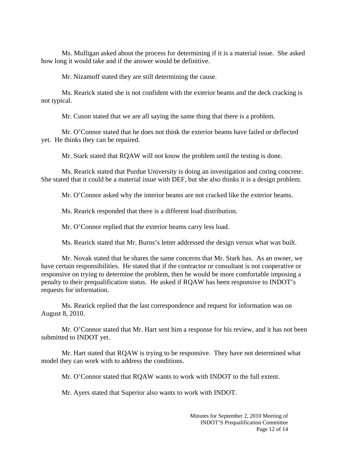Ms. Mulligan asked about the process for determining if it is a material issue. She asked how long it would take and if the answer would be definitive.

Mr. Nizamoff stated they are still determining the cause.

Ms. Rearick stated she is not confident with the exterior beams and the deck cracking is not typical.

Mr. Cuson stated that we are all saying the same thing that there is a problem.

Mr. O'Connor stated that he does not think the exterior beams have failed or deflected yet. He thinks they can be repaired.

Mr. Stark stated that RQAW will not know the problem until the testing is done.

Ms. Rearick stated that Purdue University is doing an investigation and coring concrete. She stated that it could be a material issue with DEF, but she also thinks it is a design problem.

Mr. O'Connor asked why the interior beams are not cracked like the exterior beams.

Ms. Rearick responded that there is a different load distribution.

Mr. O'Connor replied that the exterior beams carry less load.

Ms. Rearick stated that Mr. Burns's letter addressed the design versus what was built.

Mr. Novak stated that he shares the same concerns that Mr. Stark has. As an owner, we have certain responsibilities. He stated that if the contractor or consultant is not cooperative or responsive on trying to determine the problem, then he would be more comfortable imposing a penalty to their prequalification status. He asked if RQAW has been responsive to INDOT's requests for information.

Ms. Rearick replied that the last correspondence and request for information was on August 8, 2010.

Mr. O'Connor stated that Mr. Hart sent him a response for his review, and it has not been submitted to INDOT yet.

Mr. Hart stated that RQAW is trying to be responsive. They have not determined what model they can work with to address the conditions.

Mr. O'Connor stated that RQAW wants to work with INDOT to the full extent.

Mr. Ayers stated that Superior also wants to work with INDOT.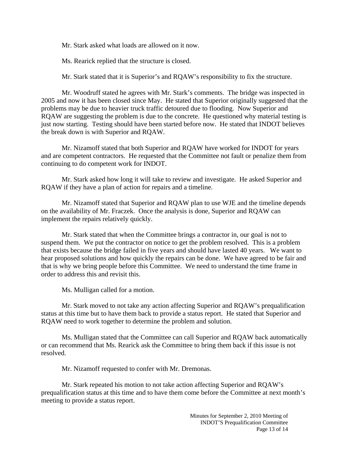Mr. Stark asked what loads are allowed on it now.

Ms. Rearick replied that the structure is closed.

Mr. Stark stated that it is Superior's and RQAW's responsibility to fix the structure.

Mr. Woodruff stated he agrees with Mr. Stark's comments. The bridge was inspected in 2005 and now it has been closed since May. He stated that Superior originally suggested that the problems may be due to heavier truck traffic detoured due to flooding. Now Superior and RQAW are suggesting the problem is due to the concrete. He questioned why material testing is just now starting. Testing should have been started before now. He stated that INDOT believes the break down is with Superior and RQAW.

Mr. Nizamoff stated that both Superior and RQAW have worked for INDOT for years and are competent contractors. He requested that the Committee not fault or penalize them from continuing to do competent work for INDOT.

Mr. Stark asked how long it will take to review and investigate. He asked Superior and RQAW if they have a plan of action for repairs and a timeline.

Mr. Nizamoff stated that Superior and RQAW plan to use WJE and the timeline depends on the availability of Mr. Fraczek. Once the analysis is done, Superior and RQAW can implement the repairs relatively quickly.

Mr. Stark stated that when the Committee brings a contractor in, our goal is not to suspend them. We put the contractor on notice to get the problem resolved. This is a problem that exists because the bridge failed in five years and should have lasted 40 years. We want to hear proposed solutions and how quickly the repairs can be done. We have agreed to be fair and that is why we bring people before this Committee. We need to understand the time frame in order to address this and revisit this.

Ms. Mulligan called for a motion.

 Mr. Stark moved to not take any action affecting Superior and RQAW's prequalification status at this time but to have them back to provide a status report. He stated that Superior and RQAW need to work together to determine the problem and solution.

Ms. Mulligan stated that the Committee can call Superior and RQAW back automatically or can recommend that Ms. Rearick ask the Committee to bring them back if this issue is not resolved.

Mr. Nizamoff requested to confer with Mr. Dremonas.

Mr. Stark repeated his motion to not take action affecting Superior and RQAW's prequalification status at this time and to have them come before the Committee at next month's meeting to provide a status report.